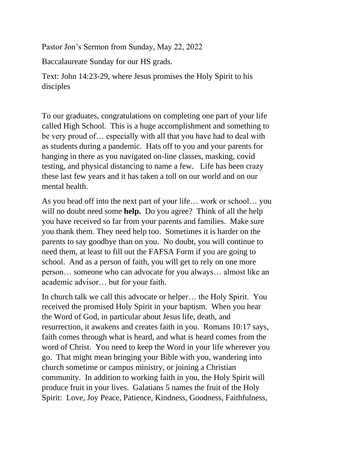Pastor Jon's Sermon from Sunday, May 22, 2022

Baccalaureate Sunday for our HS grads.

Text: John 14:23-29, where Jesus promises the Holy Spirit to his disciples

To our graduates, congratulations on completing one part of your life called High School. This is a huge accomplishment and something to be very proud of… especially with all that you have had to deal with as students during a pandemic. Hats off to you and your parents for hanging in there as you navigated on-line classes, masking, covid testing, and physical distancing to name a few. Life has been crazy these last few years and it has taken a toll on our world and on our mental health.

As you head off into the next part of your life… work or school… you will no doubt need some **help.** Do you agree? Think of all the help you have received so far from your parents and families. Make sure you thank them. They need help too. Sometimes it is harder on the parents to say goodbye than on you. No doubt, you will continue to need them, at least to fill out the FAFSA Form if you are going to school. And as a person of faith, you will get to rely on one more person… someone who can advocate for you always… almost like an academic advisor… but for your faith.

In church talk we call this advocate or helper… the Holy Spirit. You received the promised Holy Spirit in your baptism. When you hear the Word of God, in particular about Jesus life, death, and resurrection, it awakens and creates faith in you. Romans 10:17 says, faith comes through what is heard, and what is heard comes from the word of Christ. You need to keep the Word in your life wherever you go. That might mean bringing your Bible with you, wandering into church sometime or campus ministry, or joining a Christian community. In addition to working faith in you, the Holy Spirit will produce fruit in your lives. Galatians 5 names the fruit of the Holy Spirit: Love, Joy Peace, Patience, Kindness, Goodness, Faithfulness,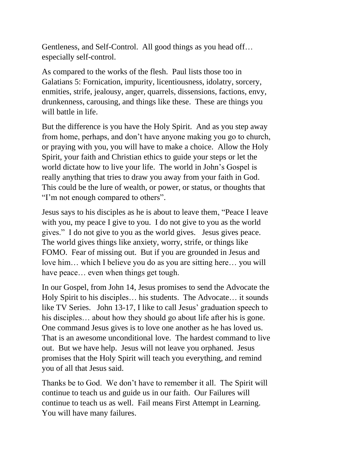Gentleness, and Self-Control. All good things as you head off… especially self-control.

As compared to the works of the flesh. Paul lists those too in Galatians 5: Fornication, impurity, licentiousness, idolatry, sorcery, enmities, strife, jealousy, anger, quarrels, dissensions, factions, envy, drunkenness, carousing, and things like these. These are things you will battle in life.

But the difference is you have the Holy Spirit. And as you step away from home, perhaps, and don't have anyone making you go to church, or praying with you, you will have to make a choice. Allow the Holy Spirit, your faith and Christian ethics to guide your steps or let the world dictate how to live your life. The world in John's Gospel is really anything that tries to draw you away from your faith in God. This could be the lure of wealth, or power, or status, or thoughts that "I'm not enough compared to others".

Jesus says to his disciples as he is about to leave them, "Peace I leave with you, my peace I give to you. I do not give to you as the world gives." I do not give to you as the world gives. Jesus gives peace. The world gives things like anxiety, worry, strife, or things like FOMO. Fear of missing out. But if you are grounded in Jesus and love him… which I believe you do as you are sitting here… you will have peace… even when things get tough.

In our Gospel, from John 14, Jesus promises to send the Advocate the Holy Spirit to his disciples… his students. The Advocate… it sounds like TV Series. John 13-17, I like to call Jesus' graduation speech to his disciples... about how they should go about life after his is gone. One command Jesus gives is to love one another as he has loved us. That is an awesome unconditional love. The hardest command to live out. But we have help. Jesus will not leave you orphaned. Jesus promises that the Holy Spirit will teach you everything, and remind you of all that Jesus said.

Thanks be to God. We don't have to remember it all. The Spirit will continue to teach us and guide us in our faith. Our Failures will continue to teach us as well. Fail means First Attempt in Learning. You will have many failures.